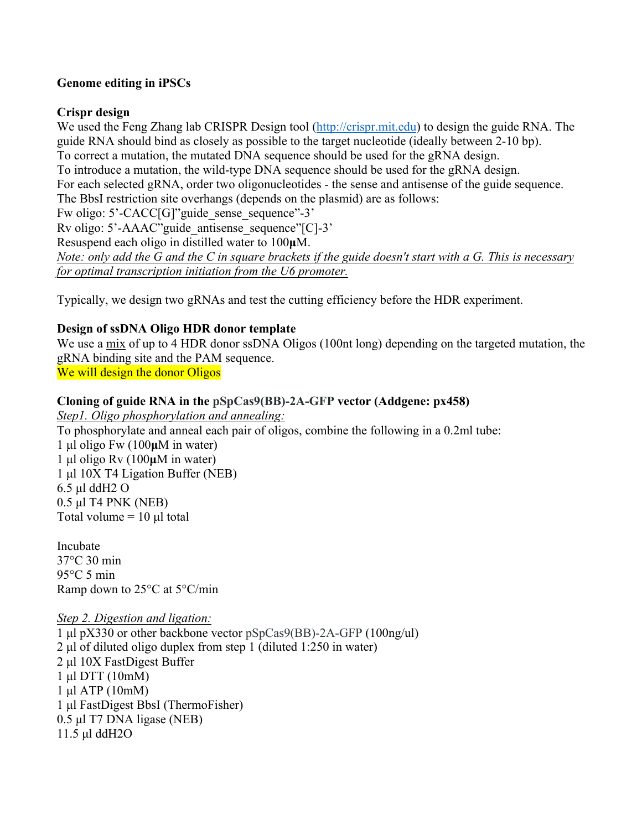### **Genome editing in iPSCs**

### **Crispr design**

We used the Feng Zhang lab CRISPR Design tool (http://crispr.mit.edu) to design the guide RNA. The guide RNA should bind as closely as possible to the target nucleotide (ideally between 2-10 bp). To correct a mutation, the mutated DNA sequence should be used for the gRNA design. To introduce a mutation, the wild-type DNA sequence should be used for the gRNA design. For each selected gRNA, order two oligonucleotides - the sense and antisense of the guide sequence. The BbsI restriction site overhangs (depends on the plasmid) are as follows: Fw oligo: 5'-CACC[G]"guide sense sequence"-3' Rv oligo: 5'-AAAC"guide\_antisense\_sequence"[C]-3' Resuspend each oligo in distilled water to 100**µ**M. *Note: only add the G and the C in square brackets if the guide doesn't start with a G. This is necessary for optimal transcription initiation from the U6 promoter.*

Typically, we design two gRNAs and test the cutting efficiency before the HDR experiment.

## **Design of ssDNA Oligo HDR donor template**

We use a mix of up to 4 HDR donor ssDNA Oligos (100nt long) depending on the targeted mutation, the gRNA binding site and the PAM sequence. We will design the donor Oligos

## **Cloning of guide RNA in the pSpCas9(BB)-2A-GFP vector (Addgene: px458)**

*Step1. Oligo phosphorylation and annealing:* To phosphorylate and anneal each pair of oligos, combine the following in a 0.2ml tube: 1 µl oligo Fw (100**µ**M in water) 1 µl oligo Rv (100**µ**M in water) 1 µl 10X T4 Ligation Buffer (NEB) 6.5 µl ddH2 O 0.5 µl T4 PNK (NEB) Total volume  $= 10 \mu l$  total

Incubate 37°C 30 min 95°C 5 min Ramp down to 25°C at 5°C/min

### *Step 2. Digestion and ligation:*

1 µl pX330 or other backbone vector pSpCas9(BB)-2A-GFP (100ng/ul) 2 µl of diluted oligo duplex from step 1 (diluted 1:250 in water) 2 µl 10X FastDigest Buffer 1 µl DTT (10mM) 1 µl ATP (10mM) 1 µl FastDigest BbsI (ThermoFisher) 0.5 µl T7 DNA ligase (NEB) 11.5 µl ddH2O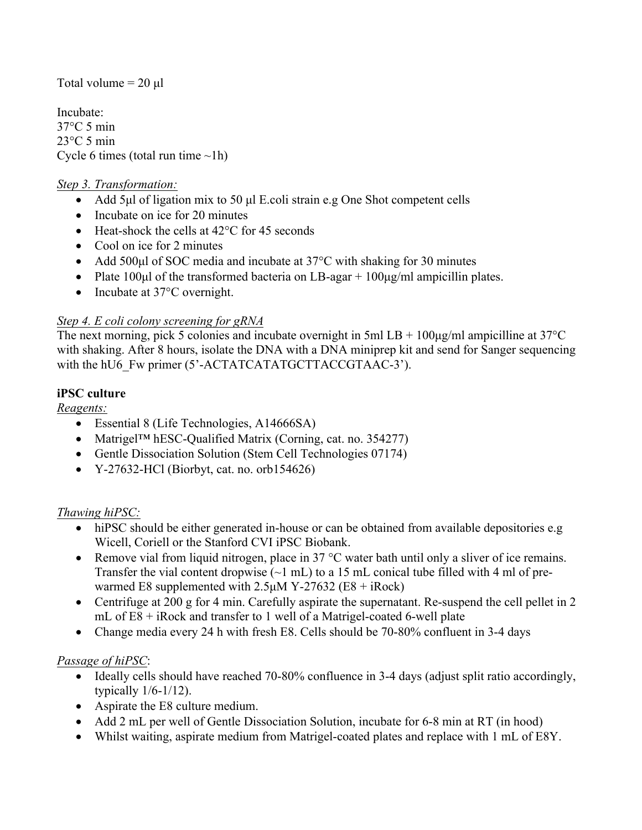Total volume  $= 20 \mu l$ 

Incubate: 37°C 5 min  $23^{\circ}$ C 5 min Cycle 6 times (total run time  $\nu$ 1h)

### *Step 3. Transformation:*

- Add 5µl of ligation mix to 50 µl E.coli strain e.g One Shot competent cells
- Incubate on ice for 20 minutes
- Heat-shock the cells at 42<sup>o</sup>C for 45 seconds
- Cool on ice for 2 minutes
- Add 500µl of SOC media and incubate at 37<sup>o</sup>C with shaking for 30 minutes
- Plate 100 $\mu$ l of the transformed bacteria on LB-agar + 100 $\mu$ g/ml ampicillin plates.
- Incubate at 37°C overnight.

## *Step 4. E coli colony screening for gRNA*

The next morning, pick 5 colonies and incubate overnight in 5ml  $LB + 100\mu g/ml$  ampicilline at 37°C with shaking. After 8 hours, isolate the DNA with a DNA miniprep kit and send for Sanger sequencing with the hU6 Fw primer (5'-ACTATCATATGCTTACCGTAAC-3').

## **iPSC culture**

*Reagents:*

- Essential 8 (Life Technologies, A14666SA)
- Matrigel<sup>TM</sup> hESC-Oualified Matrix (Corning, cat. no. 354277)
- Gentle Dissociation Solution (Stem Cell Technologies 07174)
- $Y-27632-HCl$  (Biorbyt, cat. no. orb154626)

### *Thawing hiPSC:*

- hiPSC should be either generated in-house or can be obtained from available depositories e.g. Wicell, Coriell or the Stanford CVI iPSC Biobank.
- Remove vial from liquid nitrogen, place in 37 °C water bath until only a sliver of ice remains. Transfer the vial content dropwise  $(\sim 1 \text{ mL})$  to a 15 mL conical tube filled with 4 ml of prewarmed E8 supplemented with 2.5µM Y-27632 (E8 + iRock)
- Centrifuge at 200 g for 4 min. Carefully aspirate the supernatant. Re-suspend the cell pellet in 2 mL of E8 + iRock and transfer to 1 well of a Matrigel-coated 6-well plate
- Change media every 24 h with fresh E8. Cells should be 70-80% confluent in 3-4 days

# *Passage of hiPSC*:

- Ideally cells should have reached 70-80% confluence in 3-4 days (adjust split ratio accordingly, typically 1/6-1/12).
- Aspirate the E8 culture medium.
- Add 2 mL per well of Gentle Dissociation Solution, incubate for 6-8 min at RT (in hood)
- Whilst waiting, aspirate medium from Matrigel-coated plates and replace with 1 mL of E8Y.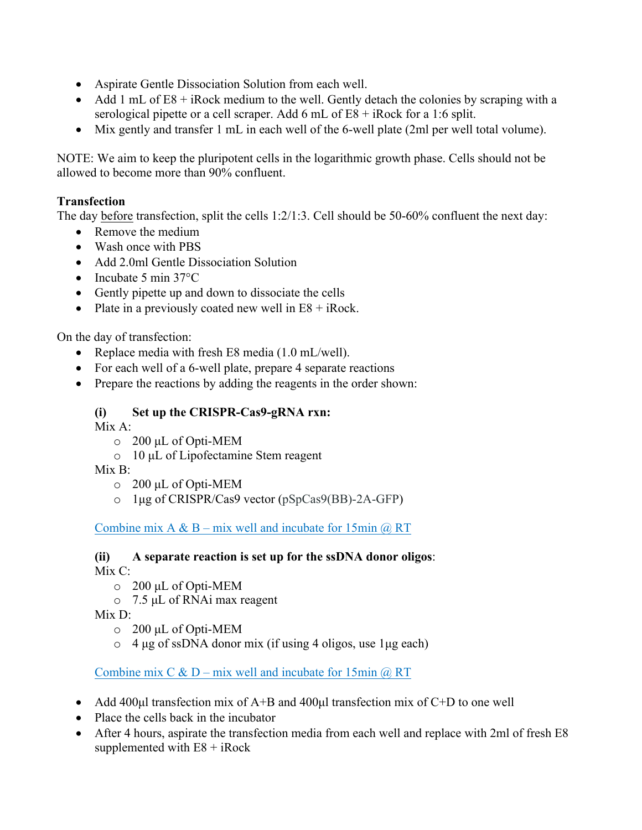- Aspirate Gentle Dissociation Solution from each well.
- Add 1 mL of  $E8 + i$ Rock medium to the well. Gently detach the colonies by scraping with a serological pipette or a cell scraper. Add 6 mL of E8 + iRock for a 1:6 split.
- Mix gently and transfer 1 mL in each well of the 6-well plate (2ml per well total volume).

NOTE: We aim to keep the pluripotent cells in the logarithmic growth phase. Cells should not be allowed to become more than 90% confluent.

# **Transfection**

The day before transfection, split the cells 1:2/1:3. Cell should be 50-60% confluent the next day:

- Remove the medium
- Wash once with PBS
- Add 2.0ml Gentle Dissociation Solution
- Incubate 5 min 37°C
- Gently pipette up and down to dissociate the cells
- Plate in a previously coated new well in  $E8 + iRock$ .

On the day of transfection:

- Replace media with fresh E8 media (1.0 mL/well).
- For each well of a 6-well plate, prepare 4 separate reactions
- Prepare the reactions by adding the reagents in the order shown:

# **(i) Set up the CRISPR-Cas9-gRNA rxn:**

Mix A:

- o 200 µL of Opti-MEM
- o 10 µL of Lipofectamine Stem reagent

 $Mix B^{\dagger}$ 

- o 200 µL of Opti-MEM
- o 1µg of CRISPR/Cas9 vector (pSpCas9(BB)-2A-GFP)

Combine mix A & B – mix well and incubate for 15min  $\omega$  RT

# **(ii) A separate reaction is set up for the ssDNA donor oligos**:

Mix C:

- o 200 µL of Opti-MEM
- o 7.5 µL of RNAi max reagent

 $Mix D<sup>+</sup>$ 

- o 200 µL of Opti-MEM
- $\circ$  4 µg of ssDNA donor mix (if using 4 oligos, use 1µg each)

Combine mix C & D – mix well and incubate for 15min  $\omega$  RT

- Add 400 $\mu$ l transfection mix of A+B and 400 $\mu$ l transfection mix of C+D to one well
- Place the cells back in the incubator
- After 4 hours, aspirate the transfection media from each well and replace with 2ml of fresh E8 supplemented with  $E8 + iRock$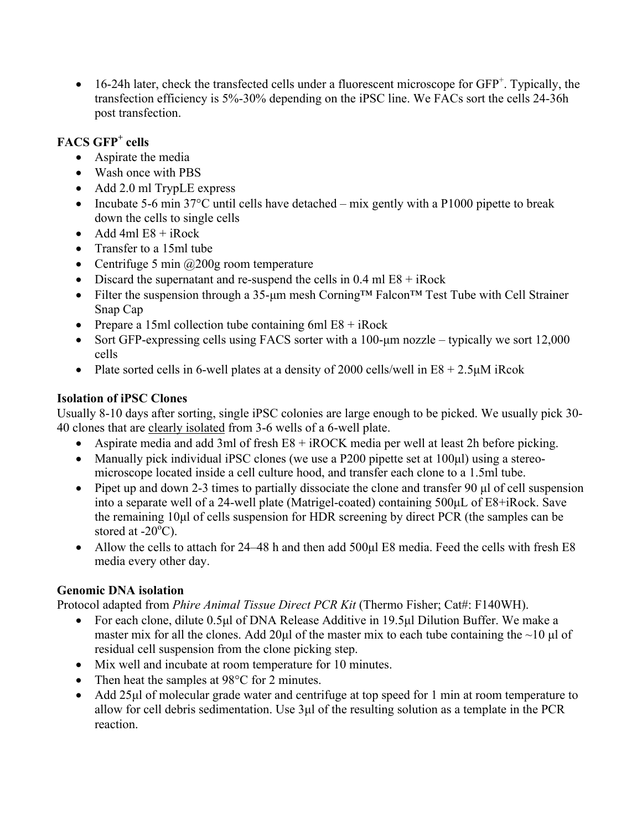• 16-24h later, check the transfected cells under a fluorescent microscope for GFP<sup>+</sup>. Typically, the transfection efficiency is 5%-30% depending on the iPSC line. We FACs sort the cells 24-36h post transfection.

# **FACS GFP+ cells**

- Aspirate the media
- Wash once with PBS
- Add 2.0 ml TrypLE express
- Incubate 5-6 min 37 $^{\circ}$ C until cells have detached mix gently with a P1000 pipette to break down the cells to single cells
- Add 4ml  $E8 + iRock$
- Transfer to a 15ml tube
- Centrifuge 5 min  $\omega$ 200g room temperature
- Discard the supernatant and re-suspend the cells in  $0.4$  ml  $E8 + iRock$
- Filter the suspension through a 35-µm mesh Corning™ Falcon™ Test Tube with Cell Strainer Snap Cap
- Prepare a 15ml collection tube containing 6ml  $E8 + iRock$
- Sort GFP-expressing cells using FACS sorter with a 100-um nozzle typically we sort 12,000 cells
- Plate sorted cells in 6-well plates at a density of 2000 cells/well in  $E_8 + 2.5 \mu M$  iRcok

# **Isolation of iPSC Clones**

Usually 8-10 days after sorting, single iPSC colonies are large enough to be picked. We usually pick 30- 40 clones that are clearly isolated from 3-6 wells of a 6-well plate.

- Aspirate media and add 3ml of fresh E8 + iROCK media per well at least 2h before picking.
- Manually pick individual iPSC clones (we use a P200 pipette set at 100µl) using a stereomicroscope located inside a cell culture hood, and transfer each clone to a 1.5ml tube.
- Pipet up and down 2-3 times to partially dissociate the clone and transfer 90 µl of cell suspension into a separate well of a 24-well plate (Matrigel-coated) containing 500µL of E8+iRock. Save the remaining 10µl of cells suspension for HDR screening by direct PCR (the samples can be stored at -20 $\overline{O}$ C).
- Allow the cells to attach for 24–48 h and then add 500 $\mu$ l E8 media. Feed the cells with fresh E8 media every other day.

# **Genomic DNA isolation**

Protocol adapted from *Phire Animal Tissue Direct PCR Kit* (Thermo Fisher; Cat#: F140WH).

- For each clone, dilute 0.5µl of DNA Release Additive in 19.5µl Dilution Buffer. We make a master mix for all the clones. Add 20 $\mu$ l of the master mix to each tube containing the ~10  $\mu$ l of residual cell suspension from the clone picking step.
- Mix well and incubate at room temperature for 10 minutes.
- Then heat the samples at 98°C for 2 minutes.
- Add 25µl of molecular grade water and centrifuge at top speed for 1 min at room temperature to allow for cell debris sedimentation. Use 3µl of the resulting solution as a template in the PCR reaction.